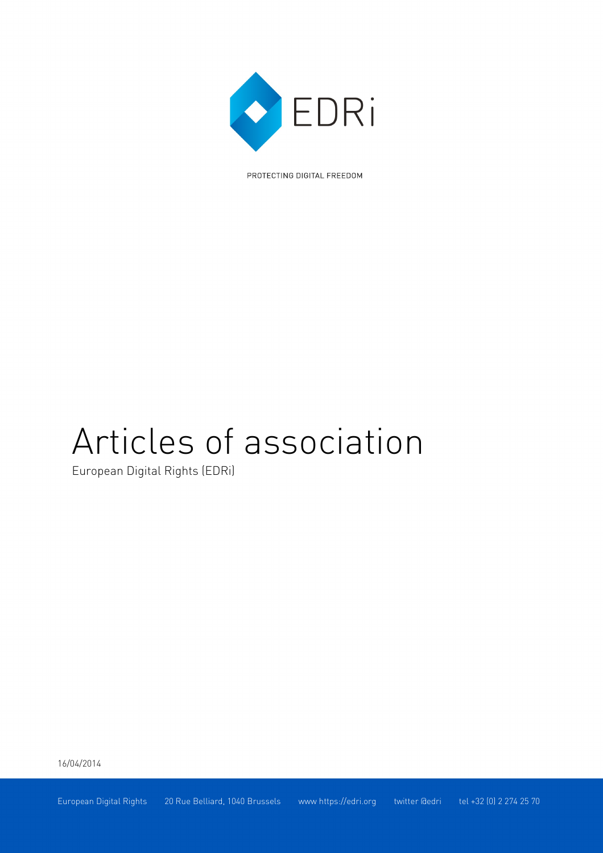

PROTECTING DIGITAL FREEDOM

# Articles of association

European Digital Rights (EDRi)

16/04/2014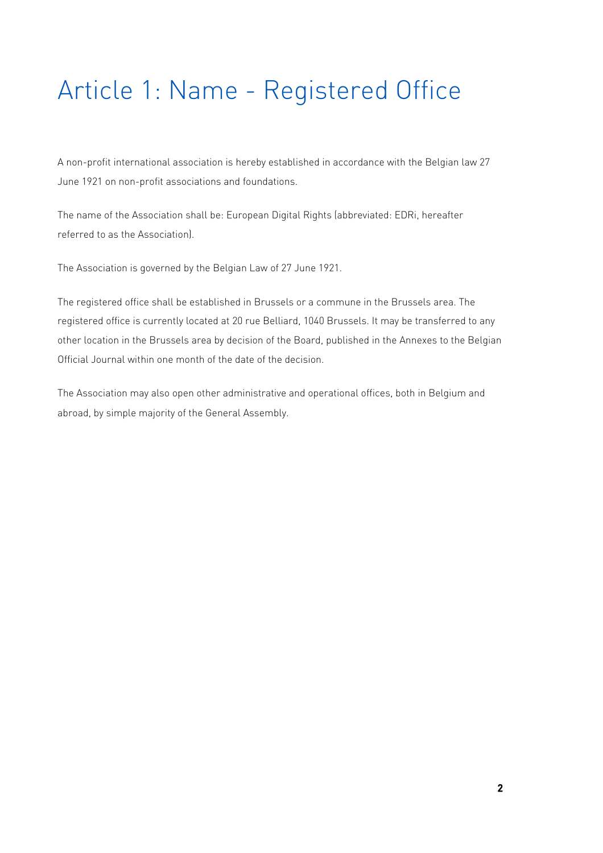# Article 1: Name - Registered Office

A non-profit international association is hereby established in accordance with the Belgian law 27 June 1921 on non-profit associations and foundations.

The name of the Association shall be: European Digital Rights (abbreviated: EDRi, hereafter referred to as the Association).

The Association is governed by the Belgian Law of 27 June 1921.

The registered office shall be established in Brussels or a commune in the Brussels area. The registered office is currently located at 20 rue Belliard, 1040 Brussels. It may be transferred to any other location in the Brussels area by decision of the Board, published in the Annexes to the Belgian Official Journal within one month of the date of the decision.

The Association may also open other administrative and operational offices, both in Belgium and abroad, by simple majority of the General Assembly.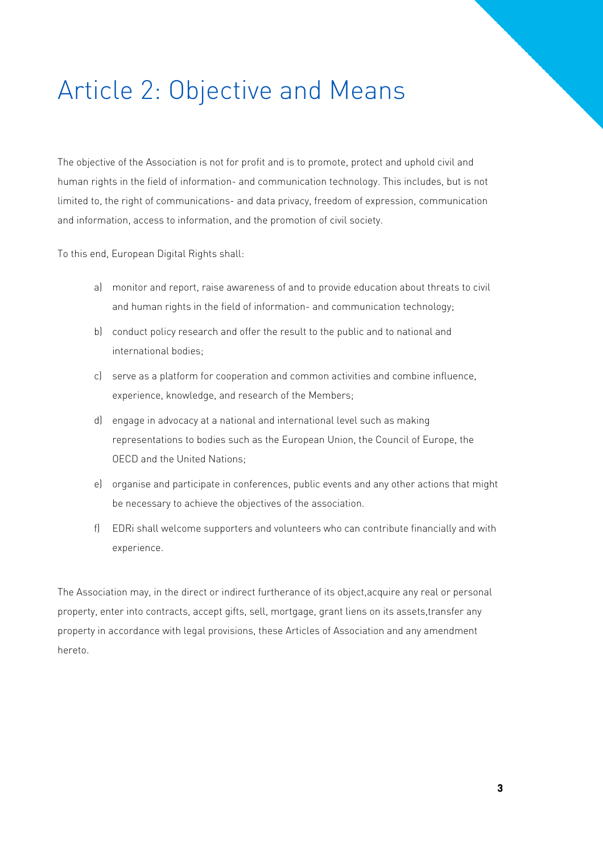## Article 2: Objective and Means

The objective of the Association is not for profit and is to promote, protect and uphold civil and human rights in the field of information- and communication technology. This includes, but is not limited to, the right of communications- and data privacy, freedom of expression, communication and information, access to information, and the promotion of civil society.

To this end, European Digital Rights shall:

- a) monitor and report, raise awareness of and to provide education about threats to civil and human rights in the field of information- and communication technology;
- b) conduct policy research and offer the result to the public and to national and international bodies;
- c) serve as a platform for cooperation and common activities and combine influence, experience, knowledge, and research of the Members;
- d) engage in advocacy at a national and international level such as making representations to bodies such as the European Union, the Council of Europe, the OECD and the United Nations;
- e) organise and participate in conferences, public events and any other actions that might be necessary to achieve the objectives of the association.
- f) EDRi shall welcome supporters and volunteers who can contribute financially and with experience.

The Association may, in the direct or indirect furtherance of its object,acquire any real or personal property, enter into contracts, accept gifts, sell, mortgage, grant liens on its assets,transfer any property in accordance with legal provisions, these Articles of Association and any amendment hereto.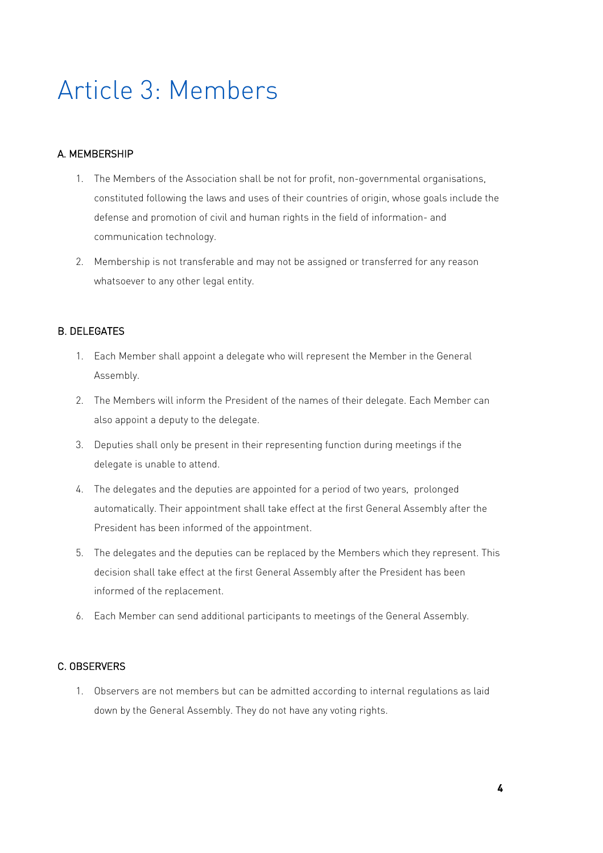### Article 3: Members

### A. MEMBERSHIP

- 1. The Members of the Association shall be not for profit, non-governmental organisations, constituted following the laws and uses of their countries of origin, whose goals include the defense and promotion of civil and human rights in the field of information- and communication technology.
- 2. Membership is not transferable and may not be assigned or transferred for any reason whatsoever to any other legal entity.

### B. DELEGATES

- 1. Each Member shall appoint a delegate who will represent the Member in the General Assembly.
- 2. The Members will inform the President of the names of their delegate. Each Member can also appoint a deputy to the delegate.
- 3. Deputies shall only be present in their representing function during meetings if the delegate is unable to attend.
- 4. The delegates and the deputies are appointed for a period of two years, prolonged automatically. Their appointment shall take effect at the first General Assembly after the President has been informed of the appointment.
- 5. The delegates and the deputies can be replaced by the Members which they represent. This decision shall take effect at the first General Assembly after the President has been informed of the replacement.
- 6. Each Member can send additional participants to meetings of the General Assembly.

### C. OBSERVERS

1. Observers are not members but can be admitted according to internal regulations as laid down by the General Assembly. They do not have any voting rights.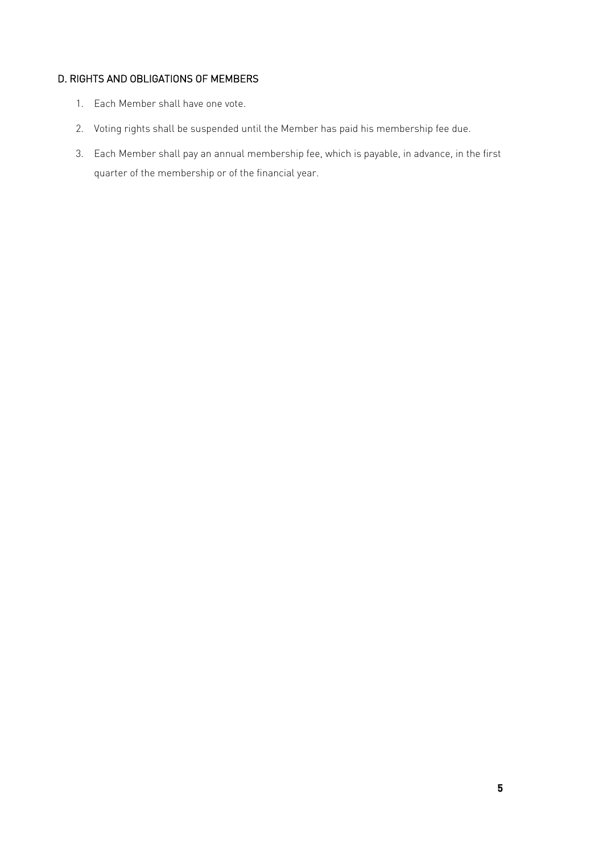### D. RIGHTS AND OBLIGATIONS OF MEMBERS

- 1. Each Member shall have one vote.
- 2. Voting rights shall be suspended until the Member has paid his membership fee due.
- 3. Each Member shall pay an annual membership fee, which is payable, in advance, in the first quarter of the membership or of the financial year.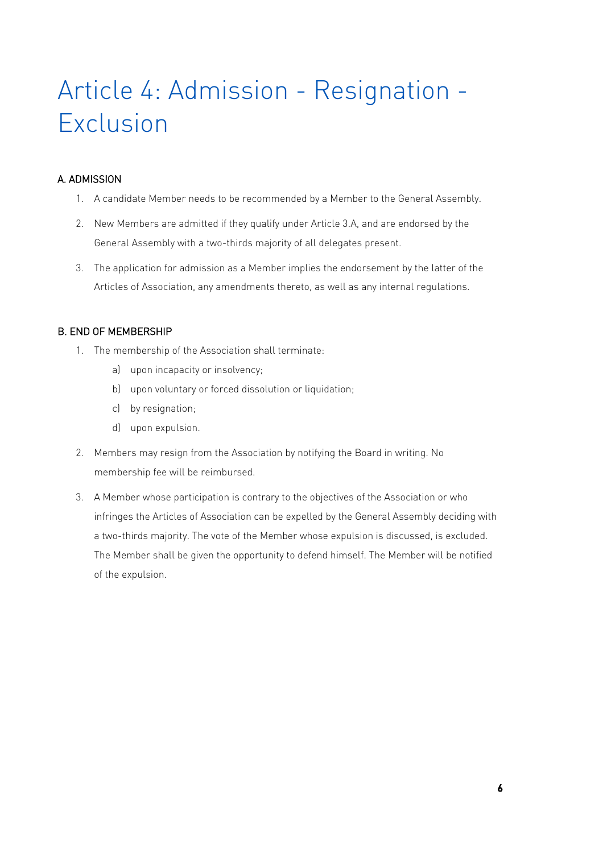# Article 4: Admission - Resignation - Exclusion

### A. ADMISSION

- 1. A candidate Member needs to be recommended by a Member to the General Assembly.
- 2. New Members are admitted if they qualify under Article 3.A, and are endorsed by the General Assembly with a two-thirds majority of all delegates present.
- 3. The application for admission as a Member implies the endorsement by the latter of the Articles of Association, any amendments thereto, as well as any internal regulations.

### B. END OF MEMBERSHIP

- 1. The membership of the Association shall terminate:
	- a) upon incapacity or insolvency;
	- b) upon voluntary or forced dissolution or liquidation;
	- c) by resignation;
	- d) upon expulsion.
- 2. Members may resign from the Association by notifying the Board in writing. No membership fee will be reimbursed.
- 3. A Member whose participation is contrary to the objectives of the Association or who infringes the Articles of Association can be expelled by the General Assembly deciding with a two-thirds majority. The vote of the Member whose expulsion is discussed, is excluded. The Member shall be given the opportunity to defend himself. The Member will be notified of the expulsion.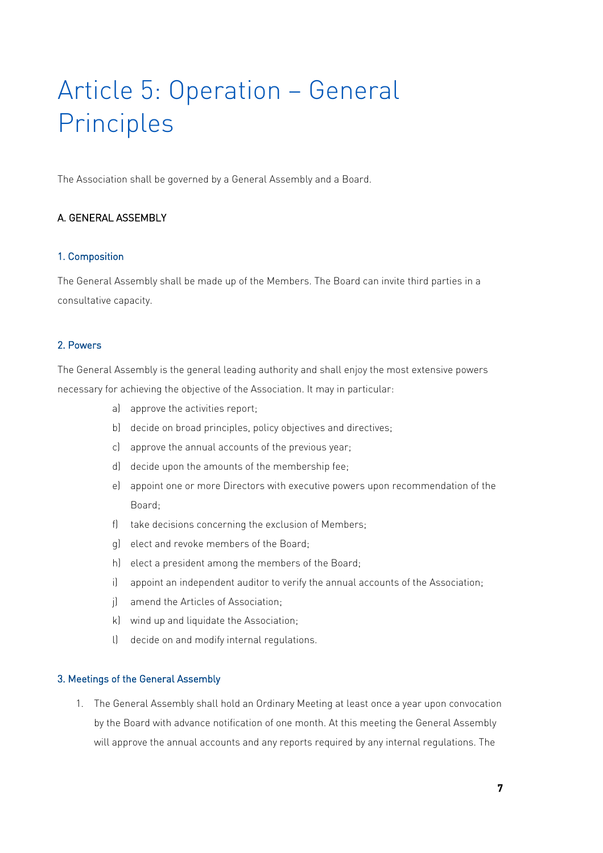# Article 5: Operation – General Principles

The Association shall be governed by a General Assembly and a Board.

### A. GENERAL ASSEMBLY

#### 1. Composition

The General Assembly shall be made up of the Members. The Board can invite third parties in a consultative capacity.

#### 2. Powers

The General Assembly is the general leading authority and shall enjoy the most extensive powers necessary for achieving the objective of the Association. It may in particular:

- a) approve the activities report;
- b) decide on broad principles, policy objectives and directives;
- c) approve the annual accounts of the previous year;
- d) decide upon the amounts of the membership fee;
- e) appoint one or more Directors with executive powers upon recommendation of the Board;
- f) take decisions concerning the exclusion of Members;
- g) elect and revoke members of the Board;
- h) elect a president among the members of the Board;
- i) appoint an independent auditor to verify the annual accounts of the Association;
- j) amend the Articles of Association;
- k) wind up and liquidate the Association;
- l) decide on and modify internal regulations.

#### 3. Meetings of the General Assembly

1. The General Assembly shall hold an Ordinary Meeting at least once a year upon convocation by the Board with advance notification of one month. At this meeting the General Assembly will approve the annual accounts and any reports required by any internal regulations. The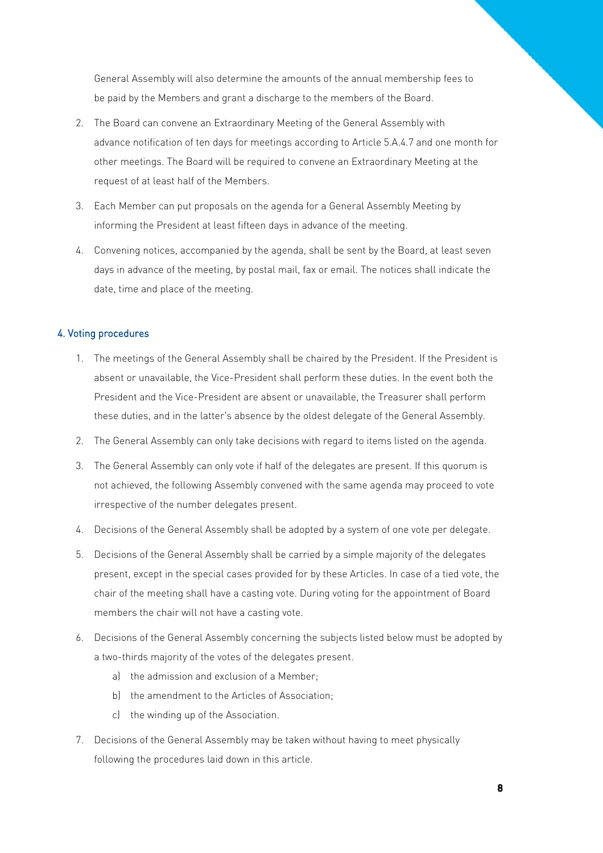General Assembly will also determine the amounts of the annual membership fees to be paid by the Members and grant a discharge to the members of the Board.

- 2. The Board can convene an Extraordinary Meeting of the General Assembly with advance notification of ten days for meetings according to Article 5.A.4.7 and one month for other meetings. The Board will be required to convene an Extraordinary Meeting at the request of at least half of the Members.
- 3. Each Member can put proposals on the agenda for a General Assembly Meeting by informing the President at least fifteen days in advance of the meeting.
- 4. Convening notices, accompanied by the agenda, shall be sent by the Board, at least seven days in advance of the meeting, by postal mail, fax or email. The notices shall indicate the date, time and place of the meeting.

#### 4. Voting procedures

- 1. The meetings of the General Assembly shall be chaired by the President. If the President is absent or unavailable, the Vice-President shall perform these duties. In the event both the President and the Vice-President are absent or unavailable, the Treasurer shall perform these duties, and in the latter's absence by the oldest delegate of the General Assembly.
- 2. The General Assembly can only take decisions with regard to items listed on the agenda.
- 3. The General Assembly can only vote if half of the delegates are present. If this quorum is not achieved, the following Assembly convened with the same agenda may proceed to vote irrespective of the number delegates present.
- 4. Decisions of the General Assembly shall be adopted by a system of one vote per delegate.
- 5. Decisions of the General Assembly shall be carried by a simple majority of the delegates present, except in the special cases provided for by these Articles. In case of a tied vote, the chair of the meeting shall have a casting vote. During voting for the appointment of Board members the chair will not have a casting vote.
- 6. Decisions of the General Assembly concerning the subjects listed below must be adopted by a two-thirds majority of the votes of the delegates present.
	- a) the admission and exclusion of a Member;
	- b) the amendment to the Articles of Association;
	- c) the winding up of the Association.
- 7. Decisions of the General Assembly may be taken without having to meet physically following the procedures laid down in this article.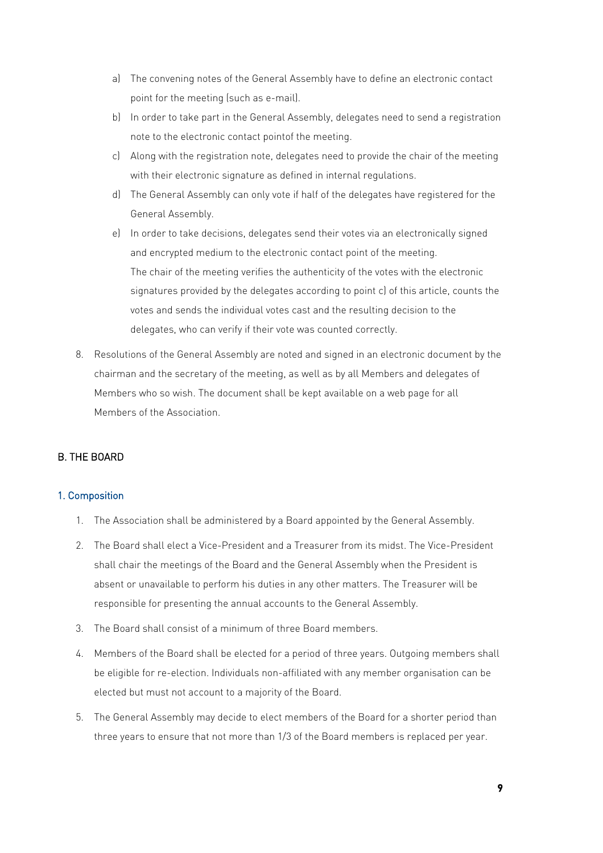- a) The convening notes of the General Assembly have to define an electronic contact point for the meeting (such as e-mail).
- b) In order to take part in the General Assembly, delegates need to send a registration note to the electronic contact pointof the meeting.
- c) Along with the registration note, delegates need to provide the chair of the meeting with their electronic signature as defined in internal regulations.
- d) The General Assembly can only vote if half of the delegates have registered for the General Assembly.
- e) In order to take decisions, delegates send their votes via an electronically signed and encrypted medium to the electronic contact point of the meeting. The chair of the meeting verifies the authenticity of the votes with the electronic signatures provided by the delegates according to point c) of this article, counts the votes and sends the individual votes cast and the resulting decision to the delegates, who can verify if their vote was counted correctly.
- 8. Resolutions of the General Assembly are noted and signed in an electronic document by the chairman and the secretary of the meeting, as well as by all Members and delegates of Members who so wish. The document shall be kept available on a web page for all Members of the Association.

### B. THE BOARD

#### 1. Composition

- 1. The Association shall be administered by a Board appointed by the General Assembly.
- 2. The Board shall elect a Vice-President and a Treasurer from its midst. The Vice-President shall chair the meetings of the Board and the General Assembly when the President is absent or unavailable to perform his duties in any other matters. The Treasurer will be responsible for presenting the annual accounts to the General Assembly.
- 3. The Board shall consist of a minimum of three Board members.
- 4. Members of the Board shall be elected for a period of three years. Outgoing members shall be eligible for re-election. Individuals non-affiliated with any member organisation can be elected but must not account to a majority of the Board.
- 5. The General Assembly may decide to elect members of the Board for a shorter period than three years to ensure that not more than 1/3 of the Board members is replaced per year.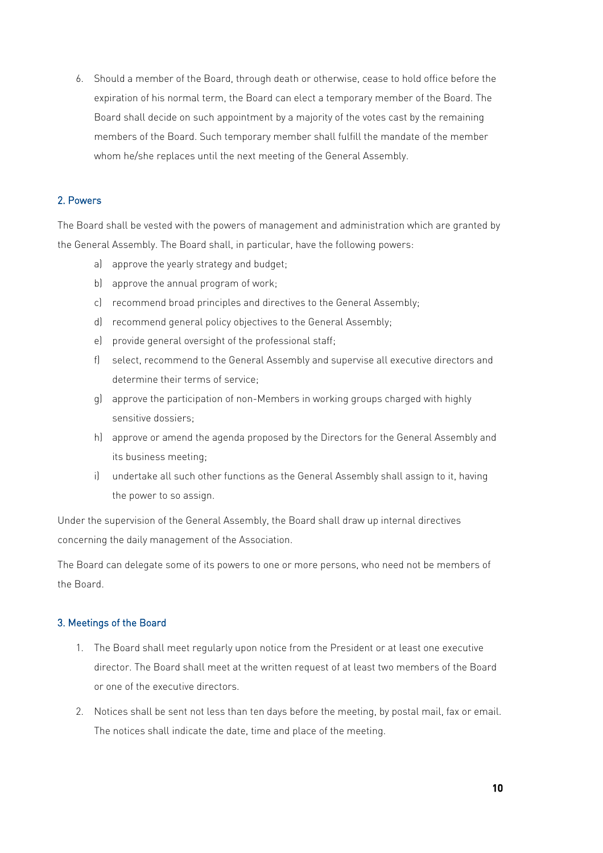6. Should a member of the Board, through death or otherwise, cease to hold office before the expiration of his normal term, the Board can elect a temporary member of the Board. The Board shall decide on such appointment by a majority of the votes cast by the remaining members of the Board. Such temporary member shall fulfill the mandate of the member whom he/she replaces until the next meeting of the General Assembly.

#### 2. Powers

The Board shall be vested with the powers of management and administration which are granted by the General Assembly. The Board shall, in particular, have the following powers:

- a) approve the yearly strategy and budget;
- b) approve the annual program of work;
- c) recommend broad principles and directives to the General Assembly;
- d) recommend general policy objectives to the General Assembly;
- e) provide general oversight of the professional staff;
- f) select, recommend to the General Assembly and supervise all executive directors and determine their terms of service;
- g) approve the participation of non-Members in working groups charged with highly sensitive dossiers;
- h) approve or amend the agenda proposed by the Directors for the General Assembly and its business meeting;
- i) undertake all such other functions as the General Assembly shall assign to it, having the power to so assign.

Under the supervision of the General Assembly, the Board shall draw up internal directives concerning the daily management of the Association.

The Board can delegate some of its powers to one or more persons, who need not be members of the Board.

#### 3. Meetings of the Board

- 1. The Board shall meet regularly upon notice from the President or at least one executive director. The Board shall meet at the written request of at least two members of the Board or one of the executive directors.
- 2. Notices shall be sent not less than ten days before the meeting, by postal mail, fax or email. The notices shall indicate the date, time and place of the meeting.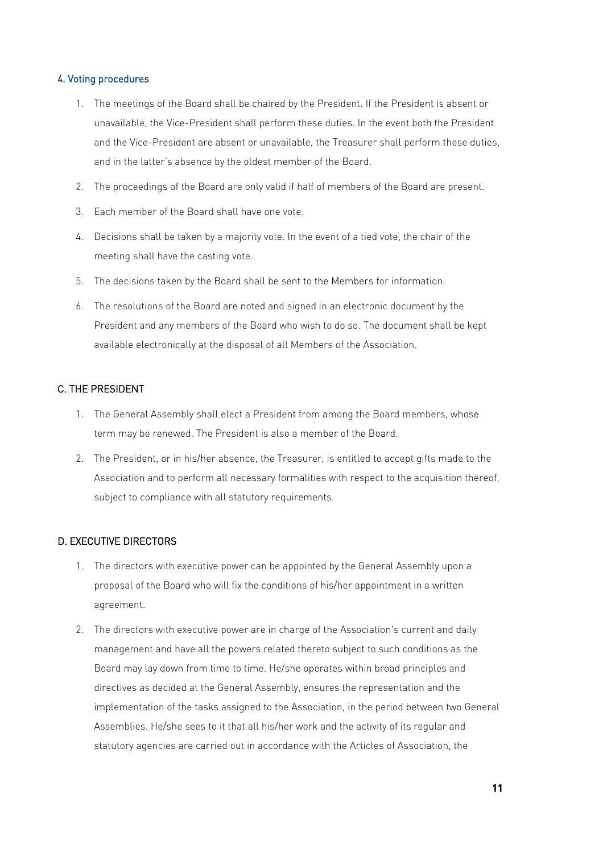#### 4. Voting procedures

- 1. The meetings of the Board shall be chaired by the President. If the President is absent or unavailable, the Vice-President shall perform these duties. In the event both the President and the Vice-President are absent or unavailable, the Treasurer shall perform these duties, and in the latter's absence by the oldest member of the Board.
- 2. The proceedings of the Board are only valid if half of members of the Board are present.
- 3. Each member of the Board shall have one vote.
- 4. Decisions shall be taken by a majority vote. In the event of a tied vote, the chair of the meeting shall have the casting vote.
- 5. The decisions taken by the Board shall be sent to the Members for information.
- 6. The resolutions of the Board are noted and signed in an electronic document by the President and any members of the Board who wish to do so. The document shall be kept available electronically at the disposal of all Members of the Association.

#### C. THE PRESIDENT

- 1. The General Assembly shall elect a President from among the Board members, whose term may be renewed. The President is also a member of the Board.
- 2. The President, or in his/her absence, the Treasurer, is entitled to accept gifts made to the Association and to perform all necessary formalities with respect to the acquisition thereof, subject to compliance with all statutory requirements.

#### D. EXECUTIVE DIRECTORS

- 1. The directors with executive power can be appointed by the General Assembly upon a proposal of the Board who will fix the conditions of his/her appointment in a written agreement.
- 2. The directors with executive power are in charge of the Association's current and daily management and have all the powers related thereto subject to such conditions as the Board may lay down from time to time. He/she operates within broad principles and directives as decided at the General Assembly, ensures the representation and the implementation of the tasks assigned to the Association, in the period between two General Assemblies. He/she sees to it that all his/her work and the activity of its regular and statutory agencies are carried out in accordance with the Articles of Association, the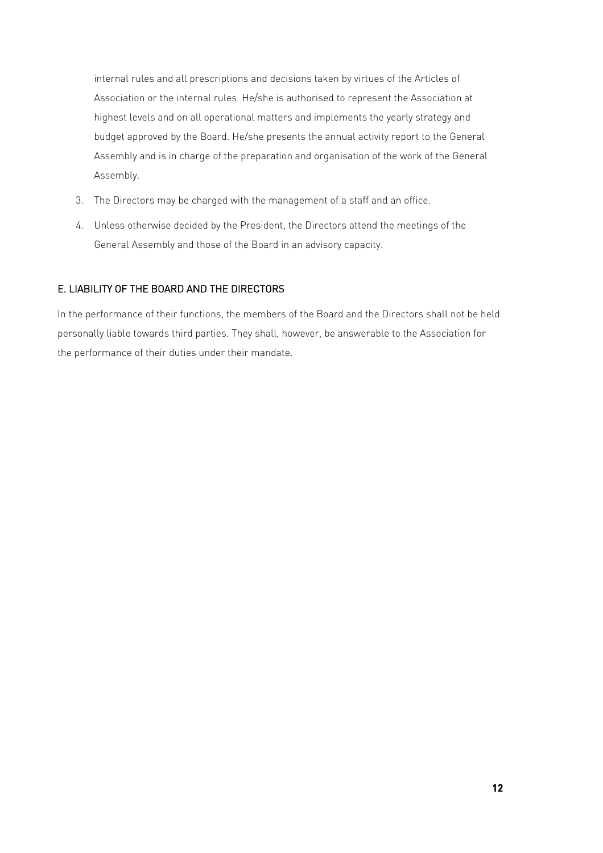internal rules and all prescriptions and decisions taken by virtues of the Articles of Association or the internal rules. He/she is authorised to represent the Association at highest levels and on all operational matters and implements the yearly strategy and budget approved by the Board. He/she presents the annual activity report to the General Assembly and is in charge of the preparation and organisation of the work of the General Assembly.

- 3. The Directors may be charged with the management of a staff and an office.
- 4. Unless otherwise decided by the President, the Directors attend the meetings of the General Assembly and those of the Board in an advisory capacity.

### E. LIABILITY OF THE BOARD AND THE DIRECTORS

In the performance of their functions, the members of the Board and the Directors shall not be held personally liable towards third parties. They shall, however, be answerable to the Association for the performance of their duties under their mandate.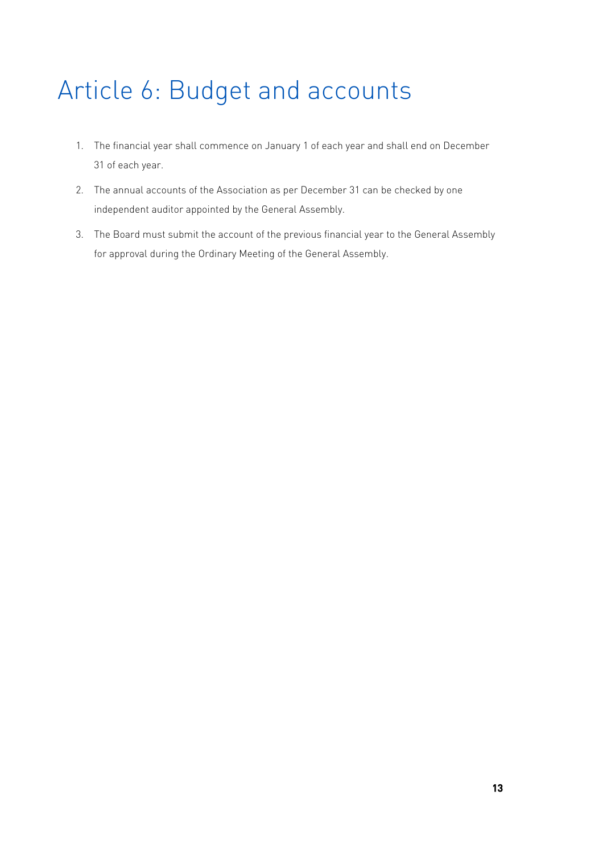# Article 6: Budget and accounts

- 1. The financial year shall commence on January 1 of each year and shall end on December 31 of each year.
- 2. The annual accounts of the Association as per December 31 can be checked by one independent auditor appointed by the General Assembly.
- 3. The Board must submit the account of the previous financial year to the General Assembly for approval during the Ordinary Meeting of the General Assembly.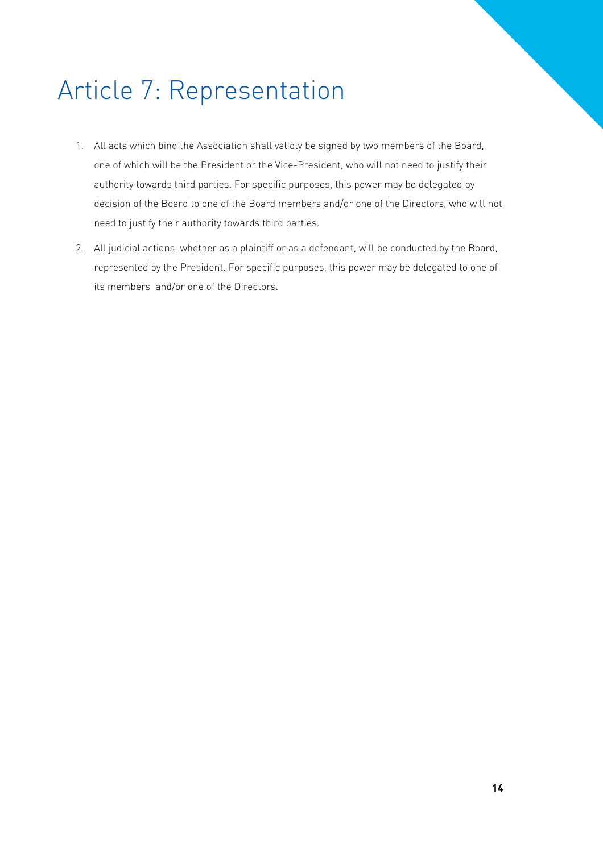# Article 7: Representation

- 1. All acts which bind the Association shall validly be signed by two members of the Board, one of which will be the President or the Vice-President, who will not need to justify their authority towards third parties. For specific purposes, this power may be delegated by decision of the Board to one of the Board members and/or one of the Directors, who will not need to justify their authority towards third parties.
- 2. All judicial actions, whether as a plaintiff or as a defendant, will be conducted by the Board, represented by the President. For specific purposes, this power may be delegated to one of its members and/or one of the Directors.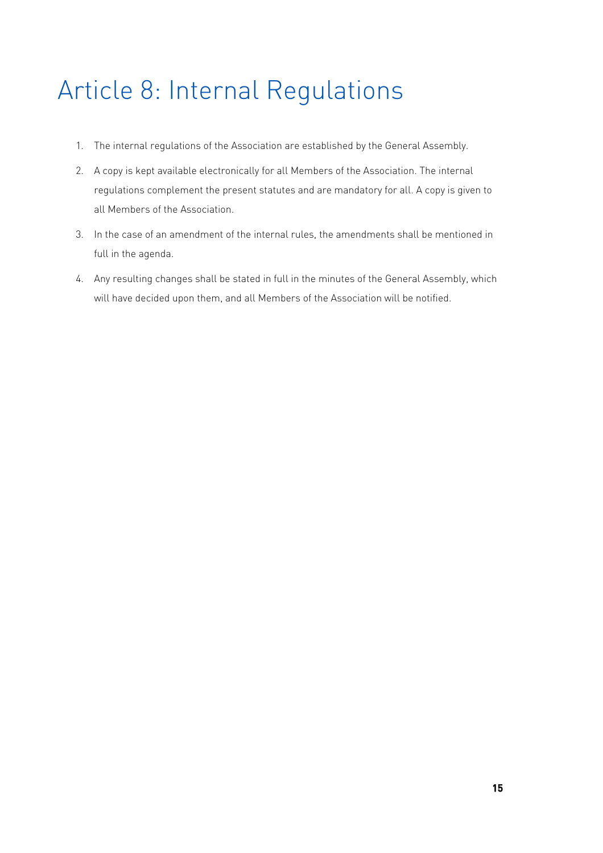# Article 8: Internal Regulations

- 1. The internal regulations of the Association are established by the General Assembly.
- 2. A copy is kept available electronically for all Members of the Association. The internal regulations complement the present statutes and are mandatory for all. A copy is given to all Members of the Association.
- 3. In the case of an amendment of the internal rules, the amendments shall be mentioned in full in the agenda.
- 4. Any resulting changes shall be stated in full in the minutes of the General Assembly, which will have decided upon them, and all Members of the Association will be notified.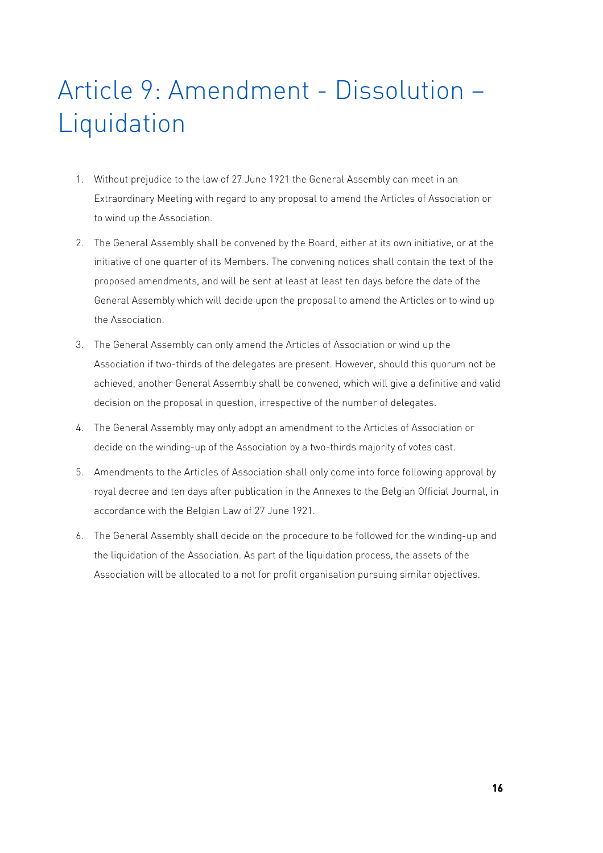# Article 9: Amendment - Dissolution – **Liquidation**

- 1. Without prejudice to the law of 27 June 1921 the General Assembly can meet in an Extraordinary Meeting with regard to any proposal to amend the Articles of Association or to wind up the Association.
- 2. The General Assembly shall be convened by the Board, either at its own initiative, or at the initiative of one quarter of its Members. The convening notices shall contain the text of the proposed amendments, and will be sent at least at least ten days before the date of the General Assembly which will decide upon the proposal to amend the Articles or to wind up the Association.
- 3. The General Assembly can only amend the Articles of Association or wind up the Association if two-thirds of the delegates are present. However, should this quorum not be achieved, another General Assembly shall be convened, which will give a definitive and valid decision on the proposal in question, irrespective of the number of delegates.
- 4. The General Assembly may only adopt an amendment to the Articles of Association or decide on the winding-up of the Association by a two-thirds majority of votes cast.
- 5. Amendments to the Articles of Association shall only come into force following approval by royal decree and ten days after publication in the Annexes to the Belgian Official Journal, in accordance with the Belgian Law of 27 June 1921.
- 6. The General Assembly shall decide on the procedure to be followed for the winding-up and the liquidation of the Association. As part of the liquidation process, the assets of the Association will be allocated to a not for profit organisation pursuing similar objectives.